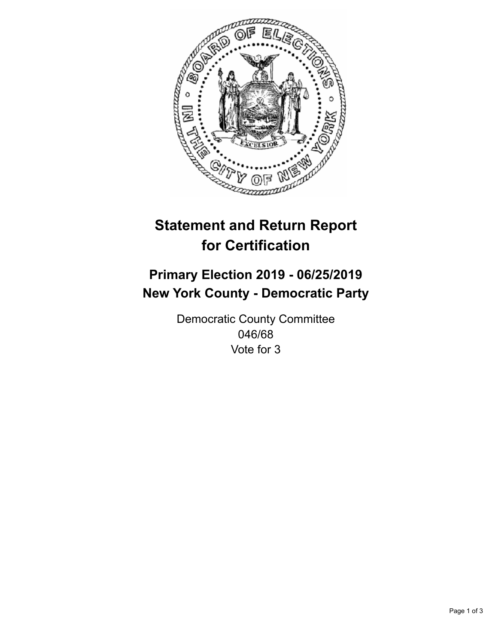

## **Statement and Return Report for Certification**

## **Primary Election 2019 - 06/25/2019 New York County - Democratic Party**

Democratic County Committee 046/68 Vote for 3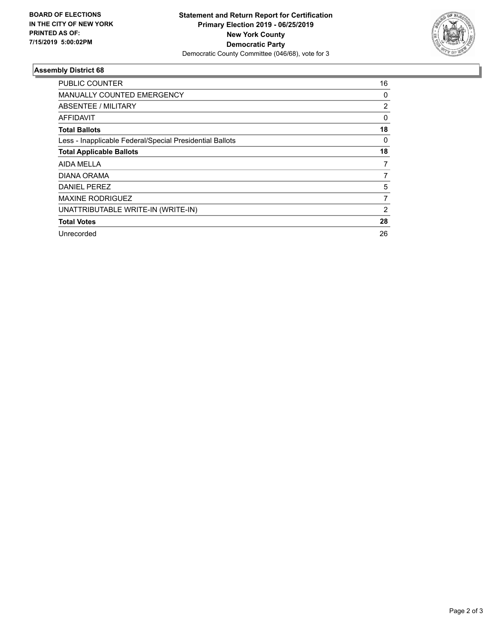

## **Assembly District 68**

| PUBLIC COUNTER                                           | 16             |
|----------------------------------------------------------|----------------|
| <b>MANUALLY COUNTED EMERGENCY</b>                        | 0              |
| ABSENTEE / MILITARY                                      | $\overline{2}$ |
| AFFIDAVIT                                                | 0              |
| <b>Total Ballots</b>                                     | 18             |
| Less - Inapplicable Federal/Special Presidential Ballots | 0              |
| <b>Total Applicable Ballots</b>                          | 18             |
| AIDA MELLA                                               | 7              |
| DIANA ORAMA                                              | 7              |
| DANIEL PEREZ                                             | 5              |
| <b>MAXINE RODRIGUEZ</b>                                  | 7              |
| UNATTRIBUTABLE WRITE-IN (WRITE-IN)                       | $\overline{2}$ |
| <b>Total Votes</b>                                       | 28             |
| Unrecorded                                               | 26             |